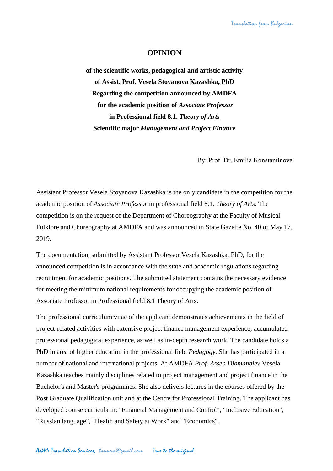## **OPINION**

**of the scientific works, pedagogical and artistic activity of Assist. Prof. Vesela Stoyanova Kazashka, PhD Regarding the competition announced by AMDFA for the academic position of** *Associate Professor* **in Professional field 8.1.** *Theory of Arts* **Scientific major** *Management and Project Finance*

By: Prof. Dr. Emilia Konstantinova

Assistant Professor Vesela Stoyanova Kazashka is the only candidate in the competition for the academic position of *Associate Professor* in professional field 8.1. *Theory of Arts*. The competition is on the request of the Department of Choreography at the Faculty of Musical Folklore and Choreography at AMDFA and was announced in State Gazette No. 40 of May 17, 2019.

The documentation, submitted by Assistant Professor Vesela Kazashka, PhD, for the announced competition is in accordance with the state and academic regulations regarding recruitment for academic positions. The submitted statement contains the necessary evidence for meeting the minimum national requirements for occupying the academic position of Associate Professor in Professional field 8.1 Theory of Arts.

The professional curriculum vitae of the applicant demonstrates achievements in the field of project-related activities with extensive project finance management experience; accumulated professional pedagogical experience, as well as in-depth research work. The candidate holds a PhD in area of higher education in the professional field *Pedagogy*. She has participated in a number of national and international projects. At AMDFA *Prof. Assen Diamandiev* Vesela Kazashka teaches mainly disciplines related to project management and project finance in the Bachelor's and Master's programmes. She also delivers lectures in the courses offered by the Post Graduate Qualification unit and at the Centre for Professional Training. The applicant has developed course curricula in: "Financial Management and Control", "Inclusive Education", "Russian language", "Health and Safety at Work" and "Economics".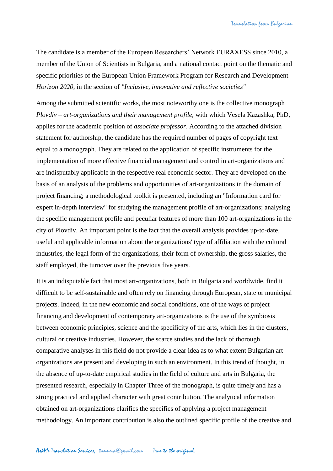The candidate is a member of the European Researchers' Network EURAXESS since 2010, a member of the Union of Scientists in Bulgaria, and a national contact point on the thematic and specific priorities of the European Union Framework Program for Research and Development *Horizon 2020*, in the section of *"Inclusive, innovative and reflective societies"*

Among the submitted scientific works, the most noteworthy one is the collective monograph *Plovdiv – art-organizations and their management profile*, with which Vesela Kazashka, PhD, applies for the academic position of *associate professor*. According to the attached division statement for authorship, the candidate has the required number of pages of copyright text equal to a monograph. They are related to the application of specific instruments for the implementation of more effective financial management and control in art-organizations and are indisputably applicable in the respective real economic sector. They are developed on the basis of an analysis of the problems and opportunities of art-organizations in the domain of project financing; a methodological toolkit is presented, including an "Information card for expert in-depth interview" for studying the management profile of art-organizations; analysing the specific management profile and peculiar features of more than 100 art-organizations in the city of Plovdiv. An important point is the fact that the overall analysis provides up-to-date, useful and applicable information about the organizations' type of affiliation with the cultural industries, the legal form of the organizations, their form of ownership, the gross salaries, the staff employed, the turnover over the previous five years.

It is an indisputable fact that most art-organizations, both in Bulgaria and worldwide, find it difficult to be self-sustainable and often rely on financing through European, state or municipal projects. Indeed, in the new economic and social conditions, one of the ways of project financing and development of contemporary art-organizations is the use of the symbiosis between economic principles, science and the specificity of the arts, which lies in the clusters, cultural or creative industries. However, the scarce studies and the lack of thorough comparative analyses in this field do not provide a clear idea as to what extent Bulgarian art organizations are present and developing in such an environment. In this trend of thought, in the absence of up-to-date empirical studies in the field of culture and arts in Bulgaria, the presented research, especially in Chapter Three of the monograph, is quite timely and has a strong practical and applied character with great contribution. The analytical information obtained on art-organizations clarifies the specifics of applying a project management methodology. An important contribution is also the outlined specific profile of the creative and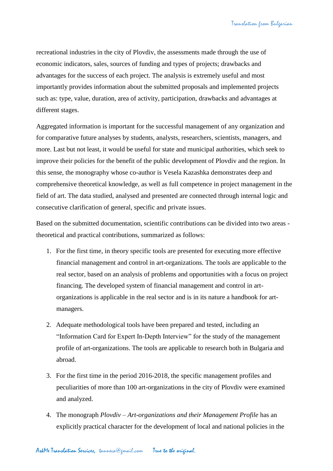recreational industries in the city of Plovdiv, the assessments made through the use of economic indicators, sales, sources of funding and types of projects; drawbacks and advantages for the success of each project. The analysis is extremely useful and most importantly provides information about the submitted proposals and implemented projects such as: type, value, duration, area of activity, participation, drawbacks and advantages at different stages.

Aggregated information is important for the successful management of any organization and for comparative future analyses by students, analysts, researchers, scientists, managers, and more. Last but not least, it would be useful for state and municipal authorities, which seek to improve their policies for the benefit of the public development of Plovdiv and the region. In this sense, the monography whose co-author is Vesela Kazashka demonstrates deep and comprehensive theoretical knowledge, as well as full competence in project management in the field of art. The data studied, analysed and presented are connected through internal logic and consecutive clarification of general, specific and private issues.

Based on the submitted documentation, scientific contributions can be divided into two areas theoretical and practical contributions, summarized as follows:

- 1. For the first time, in theory specific tools are presented for executing more effective financial management and control in art-organizations. The tools are applicable to the real sector, based on an analysis of problems and opportunities with a focus on project financing. The developed system of financial management and control in artorganizations is applicable in the real sector and is in its nature a handbook for artmanagers.
- 2. Adequate methodological tools have been prepared and tested, including an "Information Card for Expert In-Depth Interview" for the study of the management profile of art-organizations. The tools are applicable to research both in Bulgaria and abroad.
- 3. For the first time in the period 2016-2018, the specific management profiles and peculiarities of more than 100 art-organizations in the city of Plovdiv were examined and analyzed.
- 4. The monograph *Plovdiv – Art-organizations and their Management Profile* has an explicitly practical character for the development of local and national policies in the